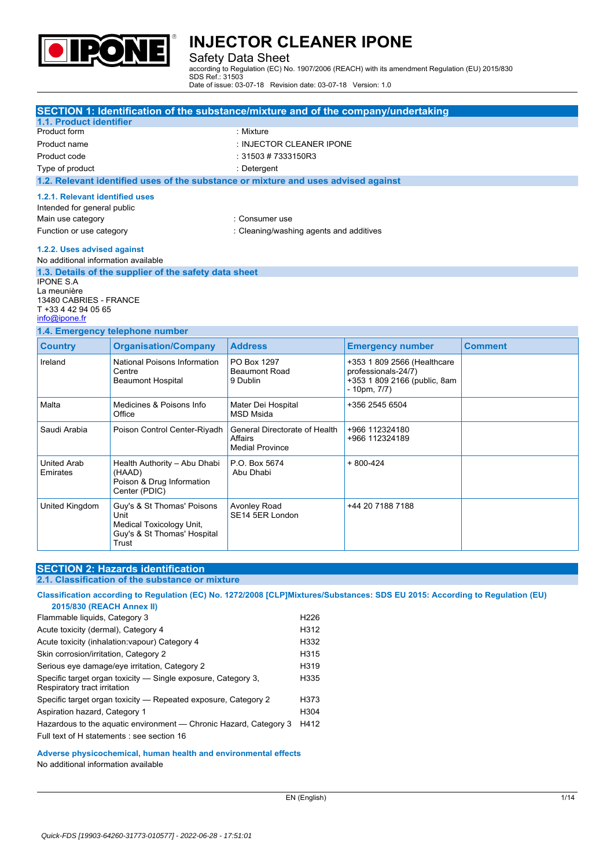

#### Safety Data Sheet

according to Regulation (EC) No. 1907/2006 (REACH) with its amendment Regulation (EU) 2015/830 SDS Ref.: 31503 Date of issue: 03-07-18 Revision date: 03-07-18 Version: 1.0

|                                                                                                                 | <b>SECTION 1: Identification of the substance/mixture and of the company/undertaking</b>               |                                                                    |                                                                                                         |                |  |  |
|-----------------------------------------------------------------------------------------------------------------|--------------------------------------------------------------------------------------------------------|--------------------------------------------------------------------|---------------------------------------------------------------------------------------------------------|----------------|--|--|
| 1.1. Product identifier                                                                                         |                                                                                                        |                                                                    |                                                                                                         |                |  |  |
| Product form                                                                                                    |                                                                                                        | : Mixture                                                          |                                                                                                         |                |  |  |
| Product name                                                                                                    |                                                                                                        | : INJECTOR CLEANER IPONE                                           |                                                                                                         |                |  |  |
| Product code                                                                                                    |                                                                                                        | : $31503 \# 7333150R3$                                             |                                                                                                         |                |  |  |
| Type of product                                                                                                 |                                                                                                        | : Detergent                                                        |                                                                                                         |                |  |  |
|                                                                                                                 | 1.2. Relevant identified uses of the substance or mixture and uses advised against                     |                                                                    |                                                                                                         |                |  |  |
| 1.2.1. Relevant identified uses<br>Intended for general public<br>Main use category<br>Function or use category |                                                                                                        | : Consumer use<br>: Cleaning/washing agents and additives          |                                                                                                         |                |  |  |
| 1.2.2. Uses advised against<br>No additional information available                                              |                                                                                                        |                                                                    |                                                                                                         |                |  |  |
| <b>IPONE S.A.</b><br>La meunière<br>13480 CABRIES - FRANCE<br>T +33 4 42 94 05 65<br>info@ipone.fr              | 1.3. Details of the supplier of the safety data sheet                                                  |                                                                    |                                                                                                         |                |  |  |
|                                                                                                                 | 1.4. Emergency telephone number                                                                        |                                                                    |                                                                                                         |                |  |  |
| <b>Country</b>                                                                                                  | <b>Organisation/Company</b>                                                                            | <b>Address</b>                                                     | <b>Emergency number</b>                                                                                 | <b>Comment</b> |  |  |
| Ireland                                                                                                         | National Poisons Information<br>Centre<br><b>Beaumont Hospital</b>                                     | PO Box 1297<br><b>Beaumont Road</b><br>9 Dublin                    | +353 1 809 2566 (Healthcare<br>professionals-24/7)<br>+353 1 809 2166 (public, 8am<br>$-10$ pm, $7/7$ ) |                |  |  |
| Malta                                                                                                           | Medicines & Poisons Info<br>Office                                                                     | Mater Dei Hospital<br><b>MSD Msida</b>                             | +356 2545 6504                                                                                          |                |  |  |
| Saudi Arabia                                                                                                    | Poison Control Center-Riyadh                                                                           | General Directorate of Health<br>Affairs<br><b>Medial Province</b> | +966 112324180<br>+966 112324189                                                                        |                |  |  |
| <b>United Arab</b><br>Emirates                                                                                  | Health Authority - Abu Dhabi<br>(HAAD)<br>Poison & Drug Information<br>Center (PDIC)                   | P.O. Box 5674<br>Abu Dhabi                                         | $+800-424$                                                                                              |                |  |  |
| United Kingdom                                                                                                  | Guy's & St Thomas' Poisons<br>Unit<br>Medical Toxicology Unit,<br>Guy's & St Thomas' Hospital<br>Trust | <b>Avonley Road</b><br>SE14 5ER London                             | +44 20 7188 7188                                                                                        |                |  |  |

#### **SECTION 2: Hazards identification 2.1. Classification of the substance or mixture**

Classification according to Regulation (EC) No. 1272/2008 [CLP]Mixtures/Substances: SDS EU 2015: According to Regulation (EU) **2015/830 (REACH Annex II)** Flammable liquids, Category 3 H226 Acute toxicity (dermal), Category 4 H312 Acute toxicity (inhalation:vapour) Category 4 H332 Skin corrosion/irritation, Category 2 H315 Serious eye damage/eye irritation, Category 2 <br>
H319 Specific target organ toxicity — Single exposure, Category 3, H335

| Respiratory tract irritation  |                                                                   |                  |
|-------------------------------|-------------------------------------------------------------------|------------------|
|                               | Specific target organ toxicity — Repeated exposure, Category 2    | H373             |
| Aspiration hazard, Category 1 |                                                                   | H <sub>304</sub> |
|                               | Hazardous to the aquatic environment — Chronic Hazard, Category 3 | H412             |

Full text of H statements : see section 16

#### **Adverse physicochemical, human health and environmental effects**

No additional information available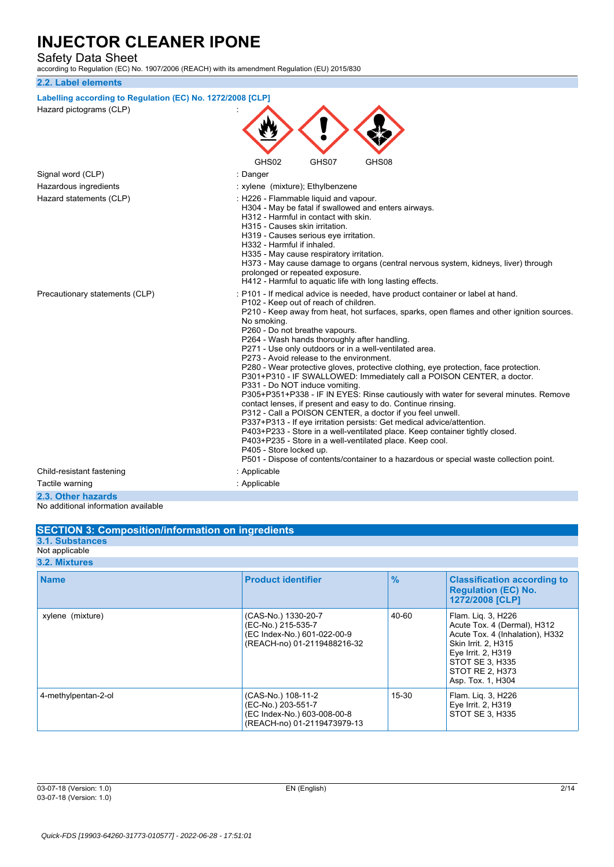Safety Data Sheet

according to Regulation (EC) No. 1907/2006 (REACH) with its amendment Regulation (EU) 2015/830

#### **2.2. Label elements Labelling according to Regulation** (EC) No. 1272/2008 [CLP] Hazard pictograms (CLP) : GHS02 GHS07 GHS08 Signal word (CLP) **in the set of the Signal word (CLP)** and the set of the set of the set of the set of the set of the set of the set of the set of the set of the set of the set of the set of the set of the set of the set Hazardous ingredients **interest in the set of the set of the set of the set of the set of the set of the set of the set of the set of the set of the set of the set of the set of the set of the set of the set of the set of** Hazard statements (CLP)  $\qquad \qquad$ : H226 - Flammable liquid and vapour. H304 - May be fatal if swallowed and enters airways. H312 - Harmful in contact with skin. H315 - Causes skin irritation. H319 - Causes serious eye irritation. H332 - Harmful if inhaled. H335 - May cause respiratory irritation. H373 - May cause damage to organs (central nervous system, kidneys, liver) through prolonged or repeated exposure. H412 - Harmful to aquatic life with long lasting effects. Precautionary statements (CLP) : P101 - If medical advice is needed, have product container or label at hand. P102 - Keep out of reach of children. P210 - Keep away from heat, hot surfaces, sparks, open flames and other ignition sources. No smoking. P260 - Do not breathe vapours. P264 - Wash hands thoroughly after handling. P271 - Use only outdoors or in a well-ventilated area. P273 - Avoid release to the environment. P280 - Wear protective gloves, protective clothing, eye protection, face protection. P301+P310 - IF SWALLOWED: Immediately call a POISON CENTER, a doctor. P331 - Do NOT induce vomiting. P305+P351+P338 - IF IN EYES: Rinse cautiously with water for several minutes. Remove contact lenses, if present and easy to do. Continue rinsing. P312 - Call a POISON CENTER, a doctor if you feel unwell. P337+P313 - If eye irritation persists: Get medical advice/attention. P403+P233 - Store in a well-ventilated place. Keep container tightly closed. P403+P235 - Store in a well-ventilated place. Keep cool. P405 - Store locked up. P501 - Dispose of contents/container to a hazardous or special waste collection point. Child-resistant fastening in the state of the Shankov Child-resistant fastening Tactile warning in the contraction of the contraction of the contraction of the contraction of the contraction of the contraction of the contraction of the contraction of the contraction of the contraction of the contracti **2.3. Other hazards**

No additional information available

#### **SECTION 3: Composition/information on ingredients 3.1. Substances** Not applicable **3.2. Mixtures Name Product identifier % Classification according to Regulation (EC) No. 1272/2008 [CLP]** xylene (mixture) (CAS-No.) 1330-20-7 (EC-No.) 215-535-7 (EC Index-No.) 601-022-00-9 (REACH-no) 01-2119488216-32 40-60 Flam. Liq. 3, H226 Acute Tox. 4 (Dermal), H312 Acute Tox. 4 (Inhalation), H332 Skin Irrit. 2, H315 Eye Irrit. 2, H319 STOT SE 3, H335 STOT RE 2, H373 Asp. Tox. 1, H304 15-30 Flam. Liq. 3, H226

(EC-No.) 203-551-7 (EC Index-No.) 603-008-00-8 (REACH-no) 01-2119473979-13

4-methylpentan-2-ol (CAS-No.) 108-11-2

Eye Irrit. 2, H319 STOT SE 3, H335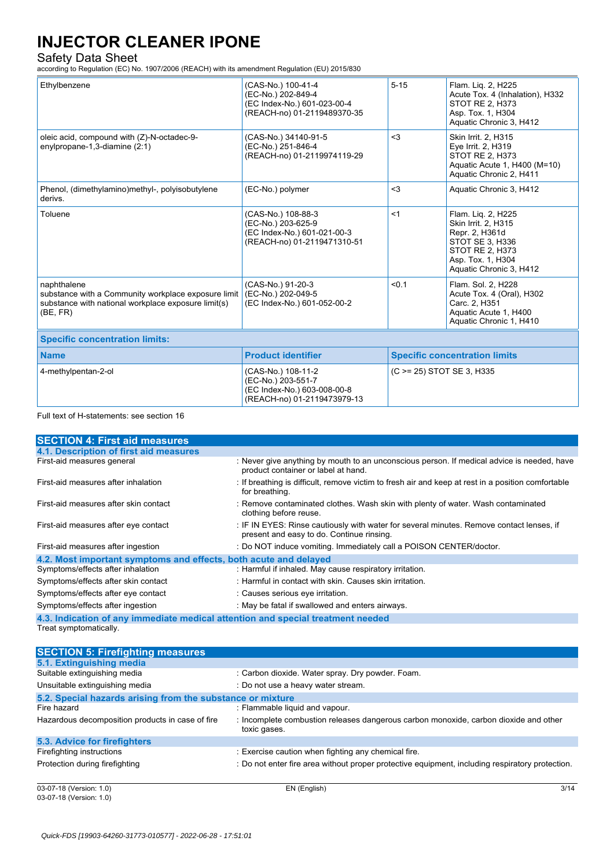Safety Data Sheet according to Regulation (EC) No. 1907/2006 (REACH) with its amendment Regulation (EU) 2015/830

| Ethylbenzene                                                                                                                          | (CAS-No.) 100-41-4<br>(EC-No.) 202-849-4<br>(EC Index-No.) 601-023-00-4<br>(REACH-no) 01-2119489370-35 | $5 - 15$                             | Flam. Lig. 2, H225<br>Acute Tox. 4 (Inhalation), H332<br>STOT RE 2, H373<br>Asp. Tox. 1, H304<br>Aquatic Chronic 3, H412                                 |  |  |
|---------------------------------------------------------------------------------------------------------------------------------------|--------------------------------------------------------------------------------------------------------|--------------------------------------|----------------------------------------------------------------------------------------------------------------------------------------------------------|--|--|
| oleic acid, compound with (Z)-N-octadec-9-<br>enylpropane-1,3-diamine (2:1)                                                           | (CAS-No.) 34140-91-5<br>(EC-No.) 251-846-4<br>(REACH-no) 01-2119974119-29                              | $3$                                  | Skin Irrit. 2, H315<br>Eye Irrit. 2, H319<br>STOT RE 2, H373<br>Aquatic Acute 1, H400 (M=10)<br>Aquatic Chronic 2, H411                                  |  |  |
| Phenol, (dimethylamino)methyl-, polyisobutylene<br>derivs.                                                                            | (EC-No.) polymer                                                                                       | $3$                                  | Aquatic Chronic 3, H412                                                                                                                                  |  |  |
| Toluene                                                                                                                               | (CAS-No.) 108-88-3<br>(EC-No.) 203-625-9<br>(EC Index-No.) 601-021-00-3<br>(REACH-no) 01-2119471310-51 | < 1                                  | Flam. Liq. 2, H225<br><b>Skin Irrit. 2, H315</b><br>Repr. 2, H361d<br>STOT SE 3, H336<br>STOT RE 2, H373<br>Asp. Tox. 1, H304<br>Aquatic Chronic 3, H412 |  |  |
| naphthalene<br>substance with a Community workplace exposure limit<br>substance with national workplace exposure limit(s)<br>(BE, FR) | (CAS-No.) 91-20-3<br>(EC-No.) 202-049-5<br>(EC Index-No.) 601-052-00-2                                 | < 0.1                                | Flam. Sol. 2, H228<br>Acute Tox. 4 (Oral), H302<br>Carc. 2, H351<br>Aquatic Acute 1, H400<br>Aquatic Chronic 1, H410                                     |  |  |
| <b>Specific concentration limits:</b>                                                                                                 |                                                                                                        |                                      |                                                                                                                                                          |  |  |
| <b>Name</b>                                                                                                                           | <b>Product identifier</b>                                                                              | <b>Specific concentration limits</b> |                                                                                                                                                          |  |  |
| 4-methylpentan-2-ol                                                                                                                   | (CAS-No.) 108-11-2<br>(EC-No.) 203-551-7<br>(EC Index-No.) 603-008-00-8<br>(REACH-no) 01-2119473979-13 | (C > = 25) STOT SE 3, H335           |                                                                                                                                                          |  |  |

#### Full text of H-statements: see section 16

| <b>SECTION 4: First aid measures</b>                                            |                                                                                                                                       |
|---------------------------------------------------------------------------------|---------------------------------------------------------------------------------------------------------------------------------------|
| 4.1. Description of first aid measures                                          |                                                                                                                                       |
| First-aid measures general                                                      | : Never give anything by mouth to an unconscious person. If medical advice is needed, have<br>product container or label at hand.     |
| First-aid measures after inhalation                                             | : If breathing is difficult, remove victim to fresh air and keep at rest in a position comfortable<br>for breathing.                  |
| First-aid measures after skin contact                                           | : Remove contaminated clothes. Wash skin with plenty of water. Wash contaminated<br>clothing before reuse.                            |
| First-aid measures after eye contact                                            | : IF IN EYES: Rinse cautiously with water for several minutes. Remove contact lenses, if<br>present and easy to do. Continue rinsing. |
| First-aid measures after ingestion                                              | : Do NOT induce vomiting. Immediately call a POISON CENTER/doctor.                                                                    |
| 4.2. Most important symptoms and effects, both acute and delayed                |                                                                                                                                       |
| Symptoms/effects after inhalation                                               | : Harmful if inhaled. May cause respiratory irritation.                                                                               |
| Symptoms/effects after skin contact                                             | : Harmful in contact with skin. Causes skin irritation.                                                                               |
| Symptoms/effects after eye contact                                              | : Causes serious eye irritation.                                                                                                      |
| Symptoms/effects after ingestion                                                | : May be fatal if swallowed and enters airways.                                                                                       |
| 4.3. Indication of any immediate medical attention and special treatment needed |                                                                                                                                       |

Treat symptomatically.

| <b>SECTION 5: Firefighting measures</b>                    |                                                                                                      |      |
|------------------------------------------------------------|------------------------------------------------------------------------------------------------------|------|
| 5.1. Extinguishing media                                   |                                                                                                      |      |
| Suitable extinguishing media                               | : Carbon dioxide. Water spray. Dry powder. Foam.                                                     |      |
| Unsuitable extinguishing media                             | : Do not use a heavy water stream.                                                                   |      |
| 5.2. Special hazards arising from the substance or mixture |                                                                                                      |      |
| Fire hazard                                                | : Flammable liquid and vapour.                                                                       |      |
| Hazardous decomposition products in case of fire           | : Incomplete combustion releases dangerous carbon monoxide, carbon dioxide and other<br>toxic gases. |      |
| 5.3. Advice for firefighters                               |                                                                                                      |      |
| Firefighting instructions                                  | : Exercise caution when fighting any chemical fire.                                                  |      |
| Protection during firefighting                             | : Do not enter fire area without proper protective equipment, including respiratory protection.      |      |
| 03-07-18 (Version: 1.0)                                    | EN (English)                                                                                         | 3/14 |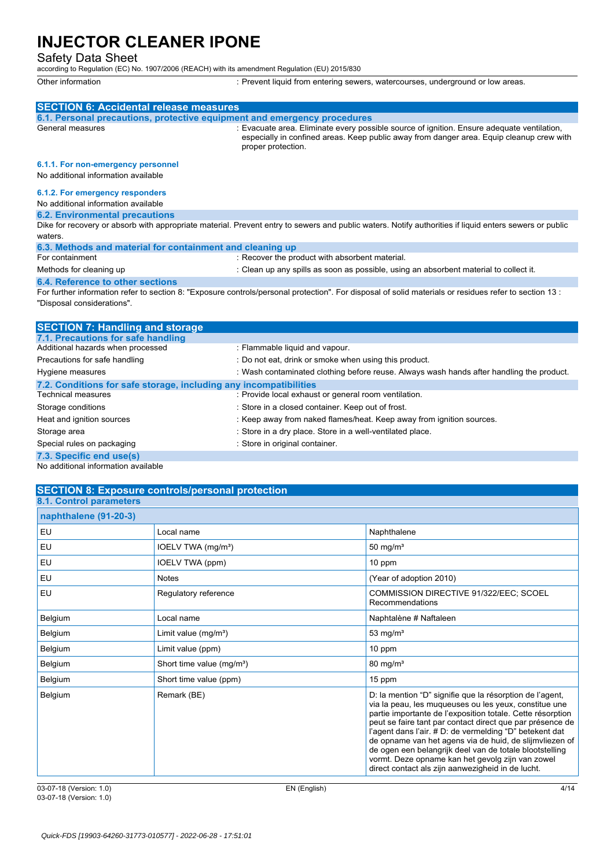Safety Data Sheet according to Regulation (EC) No. 1907/2006 (REACH) with its amendment Regulation (EU) 2015/830

Other information **interest in the controller of the CO**ther information interior controllers of the controllers controllers of the controllers of the controllers of the controllers of the controllers of the controllers of

| <b>SECTION 6: Accidental release measures</b>                            |                                                                                                                                                                                                              |
|--------------------------------------------------------------------------|--------------------------------------------------------------------------------------------------------------------------------------------------------------------------------------------------------------|
| 6.1. Personal precautions, protective equipment and emergency procedures |                                                                                                                                                                                                              |
| General measures                                                         | : Evacuate area. Eliminate every possible source of ignition. Ensure adequate ventilation,<br>especially in confined areas. Keep public away from danger area. Equip cleanup crew with<br>proper protection. |
| 6.1.1. For non-emergency personnel                                       |                                                                                                                                                                                                              |
| No additional information available                                      |                                                                                                                                                                                                              |
| 6.1.2. For emergency responders                                          |                                                                                                                                                                                                              |
| No additional information available                                      |                                                                                                                                                                                                              |
| <b>6.2. Environmental precautions</b>                                    |                                                                                                                                                                                                              |
|                                                                          | Dike for recovery or absorb with appropriate material. Prevent entry to sewers and public waters. Notify authorities if liquid enters sewers or public                                                       |
| waters.                                                                  |                                                                                                                                                                                                              |
| 6.3. Methods and material for containment and cleaning up                |                                                                                                                                                                                                              |
| For containment                                                          | : Recover the product with absorbent material.                                                                                                                                                               |
| Methods for cleaning up                                                  | : Clean up any spills as soon as possible, using an absorbent material to collect it.                                                                                                                        |
| 6.4. Reference to other sections                                         |                                                                                                                                                                                                              |
| "Disposal considerations".                                               | For further information refer to section 8: "Exposure controls/personal protection". For disposal of solid materials or residues refer to section 13:                                                        |

| <b>SECTION 7: Handling and storage</b>                            |                                                                                          |
|-------------------------------------------------------------------|------------------------------------------------------------------------------------------|
| 7.1. Precautions for safe handling                                |                                                                                          |
| Additional hazards when processed                                 | : Flammable liquid and vapour.                                                           |
| Precautions for safe handling                                     | : Do not eat, drink or smoke when using this product.                                    |
| Hygiene measures                                                  | : Wash contaminated clothing before reuse. Always wash hands after handling the product. |
| 7.2. Conditions for safe storage, including any incompatibilities |                                                                                          |
| <b>Technical measures</b>                                         | : Provide local exhaust or general room ventilation.                                     |
| Storage conditions                                                | : Store in a closed container. Keep out of frost.                                        |
| Heat and ignition sources                                         | : Keep away from naked flames/heat. Keep away from ignition sources.                     |
| Storage area                                                      | : Store in a dry place. Store in a well-ventilated place.                                |
| Special rules on packaging                                        | : Store in original container.                                                           |
| 7.3. Specific end use(s)                                          |                                                                                          |

No additional information available

## **SECTION 8: Exposure controls/personal protection**

| 8.1. Control parameters |                                       |                                                                                                                                                                                                                                                                                                                                                                                                                                                                                                                                        |
|-------------------------|---------------------------------------|----------------------------------------------------------------------------------------------------------------------------------------------------------------------------------------------------------------------------------------------------------------------------------------------------------------------------------------------------------------------------------------------------------------------------------------------------------------------------------------------------------------------------------------|
| naphthalene (91-20-3)   |                                       |                                                                                                                                                                                                                                                                                                                                                                                                                                                                                                                                        |
| EU                      | Local name                            | Naphthalene                                                                                                                                                                                                                                                                                                                                                                                                                                                                                                                            |
| EU                      | IOELV TWA (mg/m <sup>3</sup> )        | 50 mg/ $m3$                                                                                                                                                                                                                                                                                                                                                                                                                                                                                                                            |
| <b>EU</b>               | IOELV TWA (ppm)                       | 10 ppm                                                                                                                                                                                                                                                                                                                                                                                                                                                                                                                                 |
| EU                      | <b>Notes</b>                          | (Year of adoption 2010)                                                                                                                                                                                                                                                                                                                                                                                                                                                                                                                |
| EU                      | Regulatory reference                  | COMMISSION DIRECTIVE 91/322/EEC; SCOEL<br>Recommendations                                                                                                                                                                                                                                                                                                                                                                                                                                                                              |
| Belgium                 | Local name                            | Naphtalène # Naftaleen                                                                                                                                                                                                                                                                                                                                                                                                                                                                                                                 |
| Belgium                 | Limit value $(mg/m3)$                 | 53 mg/ $m3$                                                                                                                                                                                                                                                                                                                                                                                                                                                                                                                            |
| Belgium                 | Limit value (ppm)                     | $10$ ppm                                                                                                                                                                                                                                                                                                                                                                                                                                                                                                                               |
| Belgium                 | Short time value (mg/m <sup>3</sup> ) | $80 \text{ mg/m}^3$                                                                                                                                                                                                                                                                                                                                                                                                                                                                                                                    |
| Belgium                 | Short time value (ppm)                | 15 ppm                                                                                                                                                                                                                                                                                                                                                                                                                                                                                                                                 |
| Belgium                 | Remark (BE)                           | D: la mention "D" signifie que la résorption de l'agent,<br>via la peau, les muqueuses ou les yeux, constitue une<br>partie importante de l'exposition totale. Cette résorption<br>peut se faire tant par contact direct que par présence de<br>l'agent dans l'air. # D: de vermelding "D" betekent dat<br>de opname van het agens via de huid, de slijmvliezen of<br>de ogen een belangrijk deel van de totale blootstelling<br>vormt. Deze opname kan het gevolg zijn van zowel<br>direct contact als zijn aanwezigheid in de lucht. |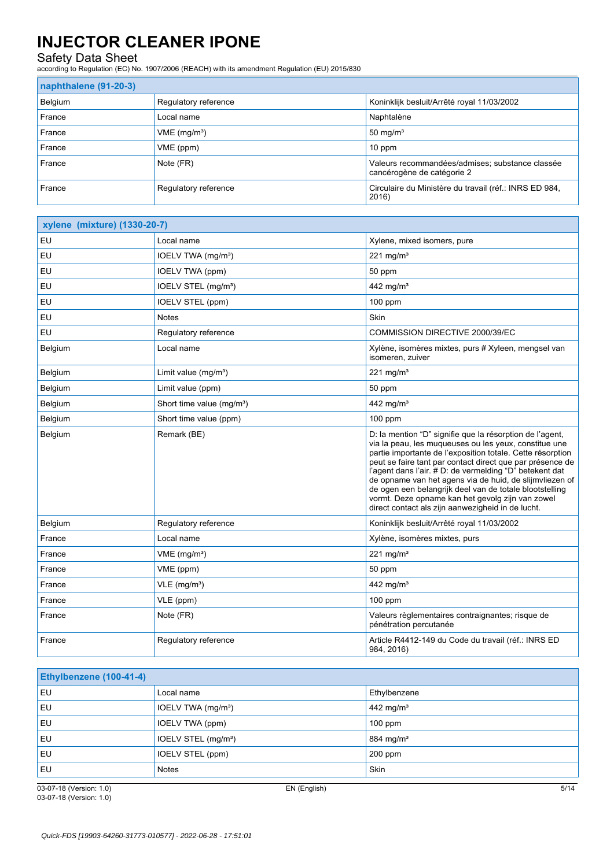Safety Data Sheet according to Regulation (EC) No. 1907/2006 (REACH) with its amendment Regulation (EU) 2015/830

#### **naphthalene (91-20-3)**

| $\frac{1}{2}$ $\frac{1}{2}$ $\frac{1}{2}$ $\frac{1}{2}$ $\frac{1}{2}$ $\frac{1}{2}$ $\frac{1}{2}$ $\frac{1}{2}$ |                          |                                                                               |
|-----------------------------------------------------------------------------------------------------------------|--------------------------|-------------------------------------------------------------------------------|
| Belgium                                                                                                         | Regulatory reference     | Koninklijk besluit/Arrêté royal 11/03/2002                                    |
| France                                                                                                          | Local name               | Naphtalène                                                                    |
| France                                                                                                          | VME (mg/m <sup>3</sup> ) | 50 mg/ $m3$                                                                   |
| France                                                                                                          | VME (ppm)                | $10$ ppm                                                                      |
| France                                                                                                          | Note (FR)                | Valeurs recommandées/admises; substance classée<br>cancérogène de catégorie 2 |
| France                                                                                                          | Regulatory reference     | Circulaire du Ministère du travail (réf.: INRS ED 984,<br>2016)               |

| xylene (mixture) (1330-20-7) |                                       |                                                                                                                                                                                                                                                                                                                                                                                                                                                                                                                                        |  |  |
|------------------------------|---------------------------------------|----------------------------------------------------------------------------------------------------------------------------------------------------------------------------------------------------------------------------------------------------------------------------------------------------------------------------------------------------------------------------------------------------------------------------------------------------------------------------------------------------------------------------------------|--|--|
| EU                           | Local name                            | Xylene, mixed isomers, pure                                                                                                                                                                                                                                                                                                                                                                                                                                                                                                            |  |  |
| EU                           | IOELV TWA (mg/m <sup>3</sup> )        | 221 mg/m $3$                                                                                                                                                                                                                                                                                                                                                                                                                                                                                                                           |  |  |
| EU                           | IOELV TWA (ppm)                       | 50 ppm                                                                                                                                                                                                                                                                                                                                                                                                                                                                                                                                 |  |  |
| EU                           | IOELV STEL (mg/m <sup>3</sup> )       | 442 mg/ $m3$                                                                                                                                                                                                                                                                                                                                                                                                                                                                                                                           |  |  |
| EU                           | IOELV STEL (ppm)                      | 100 ppm                                                                                                                                                                                                                                                                                                                                                                                                                                                                                                                                |  |  |
| EU                           | Notes                                 | Skin                                                                                                                                                                                                                                                                                                                                                                                                                                                                                                                                   |  |  |
| EU                           | Regulatory reference                  | COMMISSION DIRECTIVE 2000/39/EC                                                                                                                                                                                                                                                                                                                                                                                                                                                                                                        |  |  |
| Belgium                      | Local name                            | Xylène, isomères mixtes, purs # Xyleen, mengsel van<br>isomeren, zuiver                                                                                                                                                                                                                                                                                                                                                                                                                                                                |  |  |
| Belgium                      | Limit value $(mg/m3)$                 | 221 mg/m $3$                                                                                                                                                                                                                                                                                                                                                                                                                                                                                                                           |  |  |
| Belgium                      | Limit value (ppm)                     | 50 ppm                                                                                                                                                                                                                                                                                                                                                                                                                                                                                                                                 |  |  |
| Belgium                      | Short time value (mg/m <sup>3</sup> ) | 442 mg/m <sup>3</sup>                                                                                                                                                                                                                                                                                                                                                                                                                                                                                                                  |  |  |
| Belgium                      | Short time value (ppm)                | $100$ ppm                                                                                                                                                                                                                                                                                                                                                                                                                                                                                                                              |  |  |
| Belgium                      | Remark (BE)                           | D: la mention "D" signifie que la résorption de l'agent,<br>via la peau, les muqueuses ou les yeux, constitue une<br>partie importante de l'exposition totale. Cette résorption<br>peut se faire tant par contact direct que par présence de<br>l'agent dans l'air. # D: de vermelding "D" betekent dat<br>de opname van het agens via de huid, de slijmvliezen of<br>de ogen een belangrijk deel van de totale blootstelling<br>vormt. Deze opname kan het gevolg zijn van zowel<br>direct contact als zijn aanwezigheid in de lucht. |  |  |
| Belgium                      | Regulatory reference                  | Koninklijk besluit/Arrêté royal 11/03/2002                                                                                                                                                                                                                                                                                                                                                                                                                                                                                             |  |  |
| France                       | Local name                            | Xylène, isomères mixtes, purs                                                                                                                                                                                                                                                                                                                                                                                                                                                                                                          |  |  |
| France                       | VME (mg/m <sup>3</sup> )              | $221$ mg/m <sup>3</sup>                                                                                                                                                                                                                                                                                                                                                                                                                                                                                                                |  |  |
| France                       | VME (ppm)                             | 50 ppm                                                                                                                                                                                                                                                                                                                                                                                                                                                                                                                                 |  |  |
| France                       | $VLE$ (mg/m <sup>3</sup> )            | 442 mg/m <sup>3</sup>                                                                                                                                                                                                                                                                                                                                                                                                                                                                                                                  |  |  |
| France                       | VLE (ppm)                             | $100$ ppm                                                                                                                                                                                                                                                                                                                                                                                                                                                                                                                              |  |  |
| France                       | Note (FR)                             | Valeurs règlementaires contraignantes; risque de<br>pénétration percutanée                                                                                                                                                                                                                                                                                                                                                                                                                                                             |  |  |
| France                       | Regulatory reference                  | Article R4412-149 du Code du travail (réf.: INRS ED<br>984, 2016)                                                                                                                                                                                                                                                                                                                                                                                                                                                                      |  |  |

| <b>Ethylbenzene (100-41-4)</b> |                                 |                       |  |  |
|--------------------------------|---------------------------------|-----------------------|--|--|
| EU                             | Local name                      | Ethylbenzene          |  |  |
| EU                             | IOELV TWA (mg/m <sup>3</sup> )  | 442 mg/m <sup>3</sup> |  |  |
| EU                             | IOELV TWA (ppm)                 | $100$ ppm             |  |  |
| EU                             | IOELV STEL (mg/m <sup>3</sup> ) | 884 mg/m <sup>3</sup> |  |  |
| EU                             | IOELV STEL (ppm)                | $200$ ppm             |  |  |
| EU                             | <b>Notes</b>                    | Skin                  |  |  |

03-07-18 (Version: 1.0) EN (English) 5/14 03-07-18 (Version: 1.0)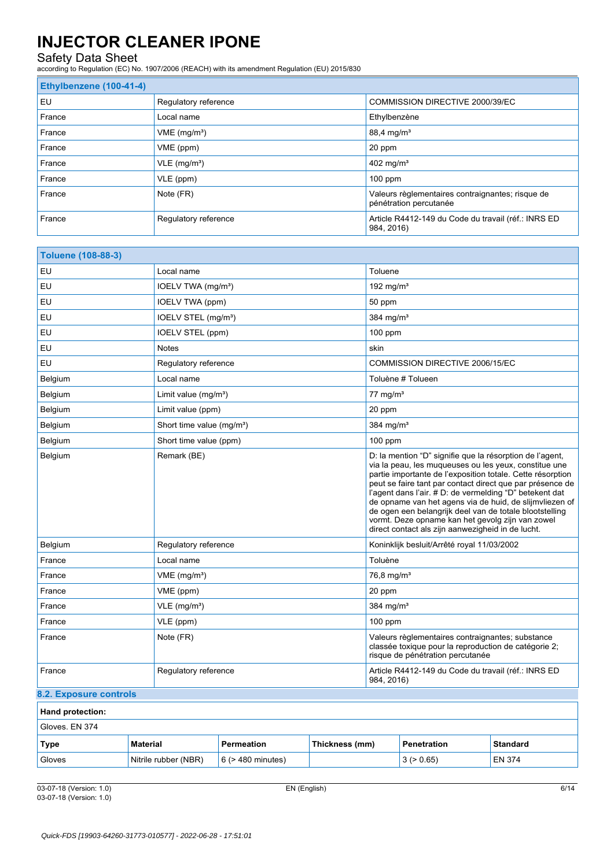## Safety Data Sheet

according to Regulation (EC) No. 1907/2006 (REACH) with its amendment Regulation (EU) 2015/830

## **Ethylbenzene (100-41-4)** EU Regulatory reference COMMISSION DIRECTIVE 2000/39/EC **France** Ethylbenzène **Local name Ethylbenzène** France **VME** (mg/m<sup>3</sup>) 88,4 mg/m<sup>3</sup> France **VME** (ppm) 20 ppm France  $VLE (mg/m<sup>3</sup>)$ France  $\vert$  VLE (ppm) 100 ppm France Note (FR) Note (FR) Note (FR) Note (FR) Note (FR) Note (FR) Note (FR) Note (FR) Note (FR) Note (FR) Note (FR) Note (FR) Note (FR) Note (FR) Note (FR) Note (FR) Note (FR) Note (FR) Note (FR) Note (FR) Note (FR) Note pénétration percutanée France Regulatory reference **Article R4412-149 du Code du travail (réf.: INRS ED** 984, 2016)

| <b>Toluene (108-88-3)</b> |                                       |                        |                |                                                                                                                                                                                                                                                                                                                                                                                                                                                                                                                                        |                                            |                 |
|---------------------------|---------------------------------------|------------------------|----------------|----------------------------------------------------------------------------------------------------------------------------------------------------------------------------------------------------------------------------------------------------------------------------------------------------------------------------------------------------------------------------------------------------------------------------------------------------------------------------------------------------------------------------------------|--------------------------------------------|-----------------|
| EU                        | Local name                            |                        |                | Toluene                                                                                                                                                                                                                                                                                                                                                                                                                                                                                                                                |                                            |                 |
| EU                        | IOELV TWA (mg/m <sup>3</sup> )        |                        |                | 192 mg/m <sup>3</sup>                                                                                                                                                                                                                                                                                                                                                                                                                                                                                                                  |                                            |                 |
| EU                        | IOELV TWA (ppm)                       |                        |                | 50 ppm                                                                                                                                                                                                                                                                                                                                                                                                                                                                                                                                 |                                            |                 |
| EU                        | IOELV STEL (mg/m <sup>3</sup> )       |                        |                | 384 mg/m <sup>3</sup>                                                                                                                                                                                                                                                                                                                                                                                                                                                                                                                  |                                            |                 |
| EU                        | IOELV STEL (ppm)                      |                        |                | 100 ppm                                                                                                                                                                                                                                                                                                                                                                                                                                                                                                                                |                                            |                 |
| EU                        | <b>Notes</b>                          |                        |                | skin                                                                                                                                                                                                                                                                                                                                                                                                                                                                                                                                   |                                            |                 |
| EU                        | Regulatory reference                  |                        |                | COMMISSION DIRECTIVE 2006/15/EC                                                                                                                                                                                                                                                                                                                                                                                                                                                                                                        |                                            |                 |
| Belgium                   | Local name                            |                        |                |                                                                                                                                                                                                                                                                                                                                                                                                                                                                                                                                        | Toluène # Tolueen                          |                 |
| Belgium                   | Limit value $(mq/m^3)$                |                        |                | $77 \text{ mg/m}^3$                                                                                                                                                                                                                                                                                                                                                                                                                                                                                                                    |                                            |                 |
| Belgium                   | Limit value (ppm)                     |                        |                | 20 ppm                                                                                                                                                                                                                                                                                                                                                                                                                                                                                                                                 |                                            |                 |
| Belgium                   | Short time value (mg/m <sup>3</sup> ) |                        |                | 384 mg/m <sup>3</sup>                                                                                                                                                                                                                                                                                                                                                                                                                                                                                                                  |                                            |                 |
| Belgium                   | Short time value (ppm)                |                        |                | $100$ ppm                                                                                                                                                                                                                                                                                                                                                                                                                                                                                                                              |                                            |                 |
| Belgium                   | Remark (BE)                           |                        |                | D: la mention "D" signifie que la résorption de l'agent,<br>via la peau, les muqueuses ou les yeux, constitue une<br>partie importante de l'exposition totale. Cette résorption<br>peut se faire tant par contact direct que par présence de<br>l'agent dans l'air. # D: de vermelding "D" betekent dat<br>de opname van het agens via de huid, de slijmvliezen of<br>de ogen een belangrijk deel van de totale blootstelling<br>vormt. Deze opname kan het gevolg zijn van zowel<br>direct contact als zijn aanwezigheid in de lucht. |                                            |                 |
| Belgium                   | Regulatory reference                  |                        |                |                                                                                                                                                                                                                                                                                                                                                                                                                                                                                                                                        | Koninklijk besluit/Arrêté royal 11/03/2002 |                 |
| France                    | Local name                            |                        |                | Toluène                                                                                                                                                                                                                                                                                                                                                                                                                                                                                                                                |                                            |                 |
| France                    | VME (mg/m <sup>3</sup> )              |                        |                | 76,8 mg/m <sup>3</sup>                                                                                                                                                                                                                                                                                                                                                                                                                                                                                                                 |                                            |                 |
| France                    | VME (ppm)                             |                        |                | 20 ppm                                                                                                                                                                                                                                                                                                                                                                                                                                                                                                                                 |                                            |                 |
| France                    | $VLE$ (mg/m <sup>3</sup> )            |                        |                | 384 mg/m <sup>3</sup>                                                                                                                                                                                                                                                                                                                                                                                                                                                                                                                  |                                            |                 |
| France                    | VLE (ppm)                             |                        |                | $100$ ppm                                                                                                                                                                                                                                                                                                                                                                                                                                                                                                                              |                                            |                 |
| France                    | Note (FR)                             |                        |                | Valeurs règlementaires contraignantes; substance<br>classée toxique pour la reproduction de catégorie 2;<br>risque de pénétration percutanée                                                                                                                                                                                                                                                                                                                                                                                           |                                            |                 |
| France                    |                                       | Regulatory reference   |                | Article R4412-149 du Code du travail (réf.: INRS ED<br>984, 2016)                                                                                                                                                                                                                                                                                                                                                                                                                                                                      |                                            |                 |
| 8.2. Exposure controls    |                                       |                        |                |                                                                                                                                                                                                                                                                                                                                                                                                                                                                                                                                        |                                            |                 |
| Hand protection:          |                                       |                        |                |                                                                                                                                                                                                                                                                                                                                                                                                                                                                                                                                        |                                            |                 |
| Gloves. EN 374            |                                       |                        |                |                                                                                                                                                                                                                                                                                                                                                                                                                                                                                                                                        |                                            |                 |
| Type<br><b>Material</b>   |                                       | Permeation             | Thickness (mm) |                                                                                                                                                                                                                                                                                                                                                                                                                                                                                                                                        | Penetration                                | <b>Standard</b> |
| Gloves                    | Nitrile rubber (NBR)                  | $6$ ( $>$ 480 minutes) |                |                                                                                                                                                                                                                                                                                                                                                                                                                                                                                                                                        | 3(>0.65)                                   | <b>EN 374</b>   |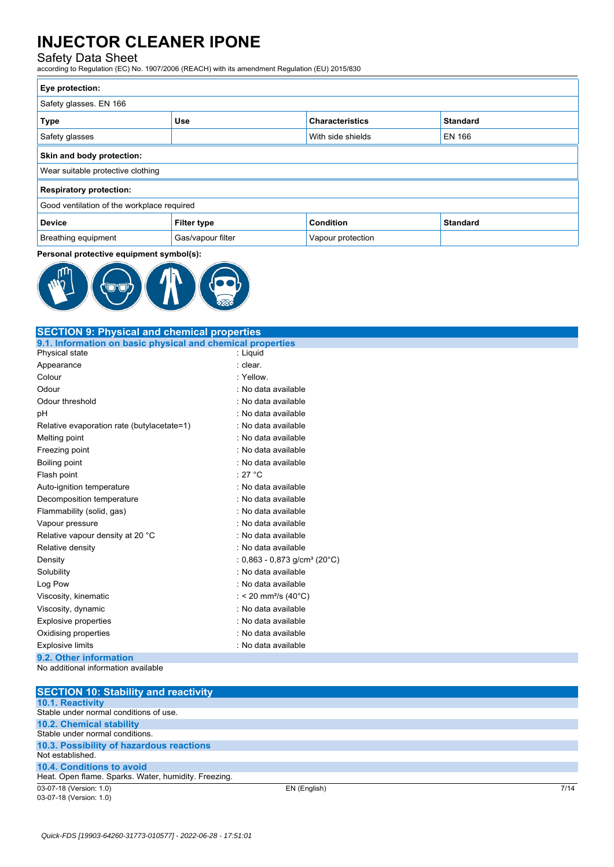## Safety Data Sheet

according to Regulation (EC) No. 1907/2006 (REACH) with its amendment Regulation (EU) 2015/830

| Eye protection:                            |                    |                        |                 |
|--------------------------------------------|--------------------|------------------------|-----------------|
| Safety glasses. EN 166                     |                    |                        |                 |
| <b>Type</b>                                | <b>Use</b>         | <b>Characteristics</b> | <b>Standard</b> |
| Safety glasses                             |                    | With side shields      | EN 166          |
| Skin and body protection:                  |                    |                        |                 |
| Wear suitable protective clothing          |                    |                        |                 |
| <b>Respiratory protection:</b>             |                    |                        |                 |
| Good ventilation of the workplace required |                    |                        |                 |
| <b>Device</b>                              | <b>Filter type</b> | Condition              | <b>Standard</b> |
| Breathing equipment                        | Gas/vapour filter  | Vapour protection      |                 |

#### **Personal protective equipment symbol(s):**



| <b>SECTION 9: Physical and chemical properties</b>               |                                             |  |
|------------------------------------------------------------------|---------------------------------------------|--|
| 9.1. Information on basic physical and chemical properties       |                                             |  |
| Physical state                                                   | : Liquid                                    |  |
| Appearance                                                       | : clear.                                    |  |
| Colour                                                           | : Yellow.                                   |  |
| Odour                                                            | : No data available                         |  |
| Odour threshold                                                  | : No data available                         |  |
| pH                                                               | : No data available                         |  |
| Relative evaporation rate (butylacetate=1)                       | : No data available                         |  |
| Melting point                                                    | : No data available                         |  |
| Freezing point                                                   | : No data available                         |  |
| Boiling point                                                    | : No data available                         |  |
| Flash point                                                      | : 27 $^{\circ}$ C                           |  |
| Auto-ignition temperature                                        | : No data available                         |  |
| Decomposition temperature                                        | : No data available                         |  |
| Flammability (solid, gas)                                        | : No data available                         |  |
| Vapour pressure                                                  | : No data available                         |  |
| Relative vapour density at 20 °C                                 | : No data available                         |  |
| Relative density                                                 | : No data available                         |  |
| Density                                                          | : $0,863 - 0,873$ g/cm <sup>3</sup> (20°C)  |  |
| Solubility                                                       | : No data available                         |  |
| Log Pow                                                          | : No data available                         |  |
| Viscosity, kinematic                                             | : < 20 mm <sup>2</sup> /s (40 $^{\circ}$ C) |  |
| Viscosity, dynamic                                               | : No data available                         |  |
| <b>Explosive properties</b>                                      | : No data available                         |  |
| Oxidising properties                                             | : No data available                         |  |
| <b>Explosive limits</b>                                          | : No data available                         |  |
| 9.2. Other information                                           |                                             |  |
| No additional information available                              |                                             |  |
|                                                                  |                                             |  |
| <b>SECTION 10: Stability and reactivity</b>                      |                                             |  |
| <b>10.1. Reactivity</b><br>Stable under normal conditions of use |                                             |  |

03-07-18 (Version: 1.0) EN (English) 7/14 Stable under normal conditions of use. **10.2. Chemical stability** Stable under normal conditions. **10.3. Possibility of hazardous reactions** Not established. **10.4. Conditions to avoid** Heat. Open flame. Sparks. Water, humidity. Freezing.

03-07-18 (Version: 1.0)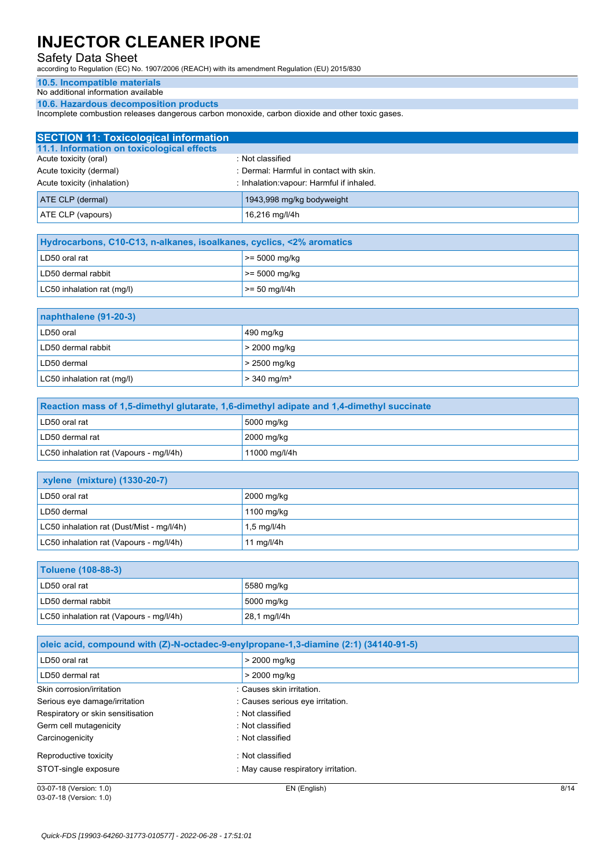Safety Data Sheet according to Regulation (EC) No. 1907/2006 (REACH) with its amendment Regulation (EU) 2015/830

#### **10.5. Incompatible materials**

No additional information available

**10.6. Hazardous decomposition products**

Incomplete combustion releases dangerous carbon monoxide, carbon dioxide and other toxic gases.

| <b>SECTION 11: Toxicological information</b> |                                           |
|----------------------------------------------|-------------------------------------------|
| 11.1. Information on toxicological effects   |                                           |
| Acute toxicity (oral)                        | : Not classified                          |
| Acute toxicity (dermal)                      | : Dermal: Harmful in contact with skin.   |
| Acute toxicity (inhalation)                  | : Inhalation: vapour: Harmful if inhaled. |
| <b>ATE CLP (dermal)</b>                      | 1943,998 mg/kg bodyweight                 |
| ATE CLP (vapours)                            | 16,216 mg/l/4h                            |

| Hydrocarbons, C10-C13, n-alkanes, isoalkanes, cyclics, <2% aromatics |                    |  |
|----------------------------------------------------------------------|--------------------|--|
| LD50 oral rat                                                        | $\ge$ = 5000 mg/kg |  |
| LD50 dermal rabbit                                                   | $\ge$ = 5000 mg/kg |  |
| LC50 inhalation rat (mg/l)                                           | $\ge$ = 50 mg/l/4h |  |

| naphthalene (91-20-3)      |                           |  |
|----------------------------|---------------------------|--|
| LD50 oral                  | 490 mg/kg                 |  |
| LD50 dermal rabbit         | $>$ 2000 mg/kg            |  |
| LD50 dermal                | $> 2500$ mg/kg            |  |
| LC50 inhalation rat (mg/l) | $> 340$ mg/m <sup>3</sup> |  |

| Reaction mass of 1,5-dimethyl glutarate, 1,6-dimethyl adipate and 1,4-dimethyl succinate |               |  |
|------------------------------------------------------------------------------------------|---------------|--|
| LD50 oral rat                                                                            | 5000 mg/kg    |  |
| LD50 dermal rat                                                                          | 2000 mg/kg    |  |
| LC50 inhalation rat (Vapours - mg/l/4h)                                                  | 11000 mg/l/4h |  |

| <b>xylene (mixture) (1330-20-7)</b>       |             |  |
|-------------------------------------------|-------------|--|
| LD50 oral rat                             | 2000 mg/kg  |  |
| LD50 dermal                               | 1100 mg/kg  |  |
| LC50 inhalation rat (Dust/Mist - mg/l/4h) | 1,5 mg/l/4h |  |
| LC50 inhalation rat (Vapours - mg/l/4h)   | 11 mg/l/4h  |  |

| <b>Toluene (108-88-3)</b>               |              |  |
|-----------------------------------------|--------------|--|
| LD50 oral rat                           | 5580 mg/kg   |  |
| LD50 dermal rabbit                      | 5000 mg/kg   |  |
| LC50 inhalation rat (Vapours - mg/l/4h) | 28,1 mg/l/4h |  |

|                                   | oleic acid, compound with (Z)-N-octadec-9-enylpropane-1,3-diamine (2:1) (34140-91-5) |      |
|-----------------------------------|--------------------------------------------------------------------------------------|------|
| LD50 oral rat                     | > 2000 mg/kg                                                                         |      |
| LD50 dermal rat                   | > 2000 mg/kg                                                                         |      |
| Skin corrosion/irritation         | : Causes skin irritation.                                                            |      |
| Serious eye damage/irritation     | : Causes serious eye irritation.                                                     |      |
| Respiratory or skin sensitisation | : Not classified                                                                     |      |
| Germ cell mutagenicity            | : Not classified                                                                     |      |
| Carcinogenicity                   | : Not classified                                                                     |      |
| Reproductive toxicity             | : Not classified                                                                     |      |
| STOT-single exposure              | : May cause respiratory irritation.                                                  |      |
| 03-07-18 (Version: 1.0)           | EN (English)                                                                         | 8/14 |

03-07-18 (Version: 1.0)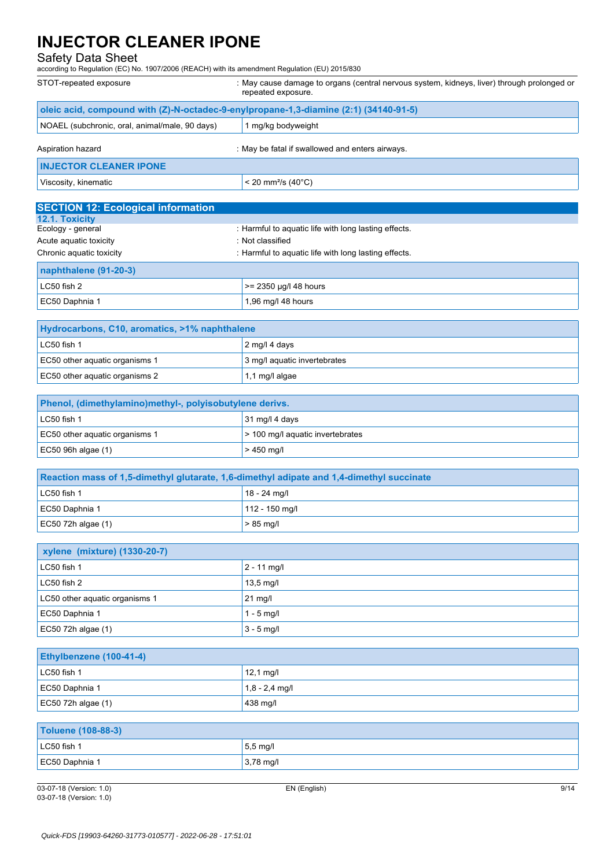Safety Data Sheet according to Regulation (EC) No. 1907/2006 (REACH) with its amendment Regulation (EU) 2015/830

| STOT-repeated exposure                                                               | : May cause damage to organs (central nervous system, kidneys, liver) through prolonged or<br>repeated exposure. |  |
|--------------------------------------------------------------------------------------|------------------------------------------------------------------------------------------------------------------|--|
| oleic acid, compound with (Z)-N-octadec-9-enylpropane-1,3-diamine (2:1) (34140-91-5) |                                                                                                                  |  |
| NOAEL (subchronic, oral, animal/male, 90 days)                                       | 1 mg/kg bodyweight                                                                                               |  |
| Aspiration hazard                                                                    | : May be fatal if swallowed and enters airways.                                                                  |  |
| <b>INJECTOR CLEANER IPONE</b>                                                        |                                                                                                                  |  |
| Viscosity, kinematic                                                                 | < 20 mm <sup>2</sup> /s (40 $^{\circ}$ C)                                                                        |  |
| <b>SECTION 12: Ecological information</b>                                            |                                                                                                                  |  |
| 12.1. Toxicity                                                                       |                                                                                                                  |  |
| Ecology - general                                                                    | : Harmful to aquatic life with long lasting effects.                                                             |  |
| Acute aquatic toxicity                                                               | : Not classified                                                                                                 |  |
| Chronic aquatic toxicity                                                             | : Harmful to aquatic life with long lasting effects.                                                             |  |
| naphthalene (91-20-3)                                                                |                                                                                                                  |  |
| LC50 fish 2                                                                          | >= 2350 µg/l 48 hours                                                                                            |  |
| EC50 Daphnia 1                                                                       | 1,96 mg/l 48 hours                                                                                               |  |
|                                                                                      |                                                                                                                  |  |
| Hydrocarbons, C10, aromatics, >1% naphthalene                                        |                                                                                                                  |  |
| LC50 fish 1                                                                          | 2 mg/l 4 days                                                                                                    |  |
| EC50 other aquatic organisms 1                                                       | 3 mg/l aquatic invertebrates                                                                                     |  |
| EC50 other aquatic organisms 2                                                       | 1,1 mg/l algae                                                                                                   |  |
| Phenol, (dimethylamino)methyl-, polyisobutylene derivs.                              |                                                                                                                  |  |
| LC50 fish 1                                                                          | 31 mg/l 4 days                                                                                                   |  |
| EC50 other aquatic organisms 1                                                       | > 100 mg/l aquatic invertebrates                                                                                 |  |
| EC50 96h algae (1)                                                                   | $>450$ mg/l                                                                                                      |  |
|                                                                                      |                                                                                                                  |  |

| Reaction mass of 1,5-dimethyl glutarate, 1,6-dimethyl adipate and 1,4-dimethyl succinate |                |
|------------------------------------------------------------------------------------------|----------------|
| LC50 fish 1                                                                              | 18 - 24 mg/l   |
| EC50 Daphnia 1                                                                           | 112 - 150 mg/l |
| EC50 72h algae $(1)$                                                                     | $> 85$ mg/l    |

| xylene (mixture) (1330-20-7)   |                     |  |
|--------------------------------|---------------------|--|
| LC50 fish 1                    | $2 - 11$ mg/l       |  |
| LC50 fish 2                    | $13,5 \text{ mg/l}$ |  |
| LC50 other aquatic organisms 1 | $21$ mg/l           |  |
| EC50 Daphnia 1                 | $1 - 5$ mg/l        |  |
| $EC50$ 72h algae (1)           | $3 - 5$ mg/l        |  |

| <b>Ethylbenzene (100-41-4)</b> |                     |
|--------------------------------|---------------------|
| LC50 fish 1                    | $12,1 \text{ mg/l}$ |
| EC50 Daphnia 1                 | $1,8 - 2,4$ mg/l    |
| EC50 72h algae $(1)$           | $438$ mg/           |

| Toluene (108-88-3) |                     |
|--------------------|---------------------|
| $LC50$ fish 1      | $5.5 \text{ mg/l}$  |
| EC50 Daphnia 1     | $3,78 \text{ mg/l}$ |

03-07-18 (Version: 1.0) EN (English) 9/14 03-07-18 (Version: 1.0)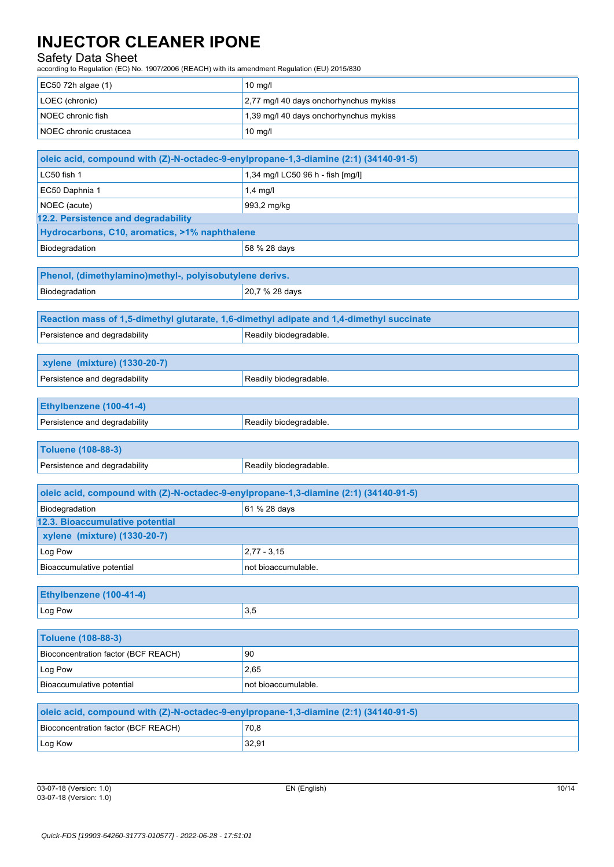# Safety Data Sheet

according to Regulation (EC) No. 1907/2006 (REACH) with its amendment Regulation (EU) 2015/830

| according to inegulation (EC) No. 1907/2000 (NEACH) With its amendment negulation (EO) 2019/090 |                                        |
|-------------------------------------------------------------------------------------------------|----------------------------------------|
| EC50 72h algae (1)                                                                              | $10$ mg/l                              |
| LOEC (chronic)                                                                                  | 2,77 mg/l 40 days onchorhynchus mykiss |
| NOEC chronic fish                                                                               | 1,39 mg/l 40 days onchorhynchus mykiss |
| NOEC chronic crustacea                                                                          | 10 mg/l                                |
|                                                                                                 |                                        |
| oleic acid, compound with (Z)-N-octadec-9-enylpropane-1,3-diamine (2:1) (34140-91-5)            |                                        |
| LC50 fish 1                                                                                     | 1,34 mg/l LC50 96 h - fish [mg/l]      |
| EC50 Daphnia 1                                                                                  | $1,4$ mg/l                             |
| NOEC (acute)                                                                                    | 993,2 mg/kg                            |
| 12.2. Persistence and degradability                                                             |                                        |
| Hydrocarbons, C10, aromatics, >1% naphthalene                                                   |                                        |
| Biodegradation                                                                                  | 58 % 28 days                           |
|                                                                                                 |                                        |
| Phenol, (dimethylamino)methyl-, polyisobutylene derivs.                                         |                                        |
| Biodegradation                                                                                  | 20,7 % 28 days                         |
|                                                                                                 |                                        |
| Reaction mass of 1,5-dimethyl glutarate, 1,6-dimethyl adipate and 1,4-dimethyl succinate        |                                        |
| Persistence and degradability                                                                   | Readily biodegradable.                 |
|                                                                                                 |                                        |
| xylene (mixture) (1330-20-7)                                                                    |                                        |
| Persistence and degradability                                                                   | Readily biodegradable.                 |
|                                                                                                 |                                        |
| Ethylbenzene (100-41-4)                                                                         |                                        |
| Persistence and degradability                                                                   | Readily biodegradable.                 |
|                                                                                                 |                                        |
| <b>Toluene (108-88-3)</b>                                                                       |                                        |
| Persistence and degradability                                                                   | Readily biodegradable.                 |
| oleic acid, compound with (Z)-N-octadec-9-enylpropane-1,3-diamine (2:1) (34140-91-5)            |                                        |
| Biodegradation                                                                                  | 61 % 28 days                           |
| 12.3. Bioaccumulative potential                                                                 |                                        |
| xylene (mixture) (1330-20-7)                                                                    |                                        |
| Log Pow                                                                                         | $2,77 - 3,15$                          |
| Bioaccumulative potential                                                                       | not bioaccumulable.                    |
|                                                                                                 |                                        |
| Ethylbenzene (100-41-4)                                                                         |                                        |
| Log Pow                                                                                         | 3,5                                    |
|                                                                                                 |                                        |
| <b>Toluene (108-88-3)</b>                                                                       |                                        |
| Bioconcentration factor (BCF REACH)                                                             | 90                                     |
| Log Pow                                                                                         | 2,65                                   |
| Bioaccumulative potential                                                                       | not bioaccumulable.                    |
|                                                                                                 |                                        |
| oleic acid, compound with (Z)-N-octadec-9-enylpropane-1,3-diamine (2:1) (34140-91-5)            |                                        |
| Bioconcentration factor (BCF REACH)                                                             | 70,8                                   |
|                                                                                                 |                                        |

**Log Kow 32,91**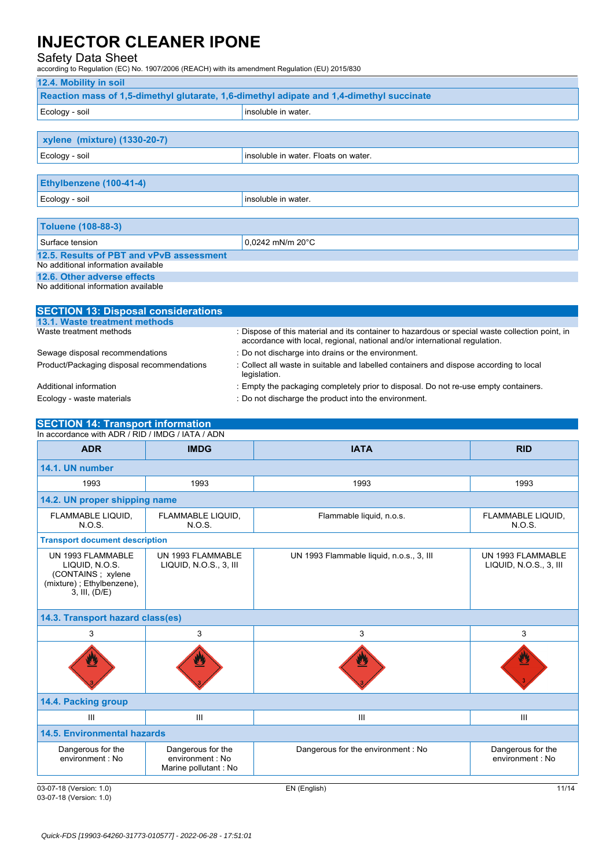#### Safety Data Sheet

according to Regulation (EC) No. 1907/2006 (REACH) with its amendment Regulation (EU) 2015/830

## **12.4. Mobility in soil Reaction mass of 1,5-dimethyl glutarate, 1,6-dimethyl adipate and 1,4-dimethyl succinate** Ecology - soil insoluble in water. **xylene (mixture) (1330-20-7)** Ecology - soil insoluble in water. Floats on water. **Ethylbenzene (100-41-4)** Ecology - soil insoluble in water. **Toluene (108-88-3)** Surface tension  $\Big| 0,0242 \text{ mM/m } 20 \text{°C}$ **12.5. Results of PBT and vPvB assessment** No additional information available **12.6. Other adverse effects** No additional information available

| <b>SECTION 13: Disposal considerations</b> |                                                                                                                                                                               |
|--------------------------------------------|-------------------------------------------------------------------------------------------------------------------------------------------------------------------------------|
| 13.1. Waste treatment methods              |                                                                                                                                                                               |
| Waste treatment methods                    | : Dispose of this material and its container to hazardous or special waste collection point, in<br>accordance with local, regional, national and/or international regulation. |
| Sewage disposal recommendations            | : Do not discharge into drains or the environment.                                                                                                                            |
| Product/Packaging disposal recommendations | : Collect all waste in suitable and labelled containers and dispose according to local<br>legislation.                                                                        |
| Additional information                     | : Empty the packaging completely prior to disposal. Do not re-use empty containers.                                                                                           |
| Ecology - waste materials                  | : Do not discharge the product into the environment.                                                                                                                          |

## **SECTION 14: Transport information**

| In accordance with ADR / RID / IMDG / IATA / ADN                                                       |                                                               |                                          |                                             |
|--------------------------------------------------------------------------------------------------------|---------------------------------------------------------------|------------------------------------------|---------------------------------------------|
| <b>ADR</b>                                                                                             | <b>IMDG</b>                                                   | <b>IATA</b>                              | <b>RID</b>                                  |
| 14.1. UN number                                                                                        |                                                               |                                          |                                             |
| 1993                                                                                                   | 1993                                                          | 1993                                     | 1993                                        |
| 14.2. UN proper shipping name                                                                          |                                                               |                                          |                                             |
| FLAMMABLE LIQUID,<br>N.O.S.                                                                            | FLAMMABLE LIQUID,<br>N.O.S.                                   | Flammable liquid, n.o.s.                 | FLAMMABLE LIQUID,<br>N.O.S.                 |
| <b>Transport document description</b>                                                                  |                                                               |                                          |                                             |
| UN 1993 FLAMMABLE<br>LIQUID, N.O.S.<br>(CONTAINS; xylene<br>(mixture); Ethylbenzene),<br>3, III, (D/E) | UN 1993 FLAMMABLE<br>LIQUID, N.O.S., 3, III                   | UN 1993 Flammable liquid, n.o.s., 3, III | UN 1993 FLAMMABLE<br>LIQUID, N.O.S., 3, III |
| 14.3. Transport hazard class(es)                                                                       |                                                               |                                          |                                             |
| 3                                                                                                      | 3                                                             | 3                                        | 3                                           |
|                                                                                                        |                                                               |                                          |                                             |
| 14.4. Packing group                                                                                    |                                                               |                                          |                                             |
| III                                                                                                    | III                                                           | III                                      | Ш                                           |
| <b>14.5. Environmental hazards</b>                                                                     |                                                               |                                          |                                             |
| Dangerous for the<br>environment : No                                                                  | Dangerous for the<br>environment : No<br>Marine pollutant: No | Dangerous for the environment: No        | Dangerous for the<br>environment : No       |

03-07-18 (Version: 1.0) EN (English) 11/14 03-07-18 (Version: 1.0)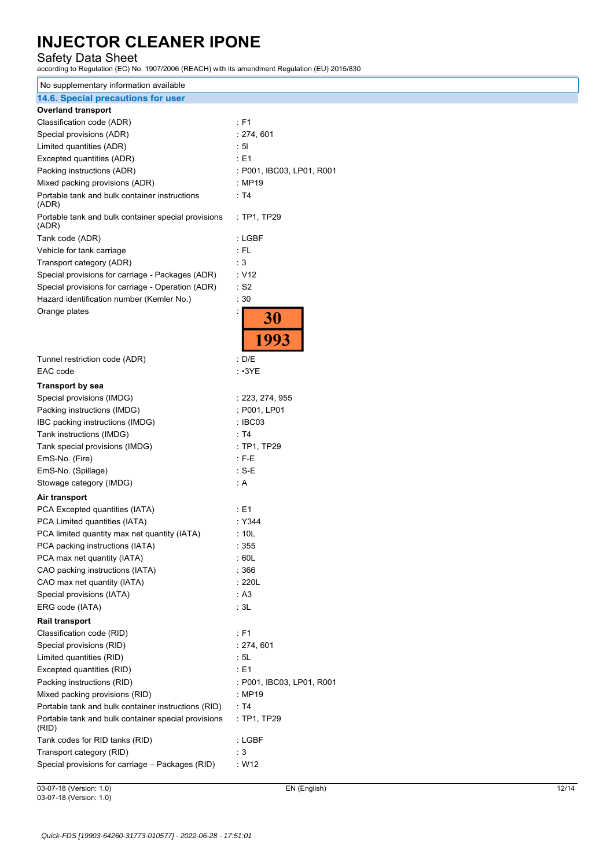Safety Data Sheet according to Regulation (EC) No. 1907/2006 (REACH) with its amendment Regulation (EU) 2015/830

| No supplementary information available                       |                           |
|--------------------------------------------------------------|---------------------------|
| 14.6. Special precautions for user                           |                           |
| <b>Overland transport</b>                                    |                           |
| Classification code (ADR)                                    | : F1                      |
| Special provisions (ADR)                                     | : 274, 601                |
| Limited quantities (ADR)                                     | : 51                      |
| Excepted quantities (ADR)                                    | : E1                      |
| Packing instructions (ADR)                                   | : P001, IBC03, LP01, R001 |
| Mixed packing provisions (ADR)                               | : MP19                    |
| Portable tank and bulk container instructions<br>(ADR)       | : T4                      |
| Portable tank and bulk container special provisions<br>(ADR) | : TP1, TP29               |
| Tank code (ADR)                                              | : LGBF                    |
| Vehicle for tank carriage                                    | : FL                      |
| Transport category (ADR)                                     | : 3                       |
| Special provisions for carriage - Packages (ADR)             | : V12                     |
| Special provisions for carriage - Operation (ADR)            | $\cdot$ S2                |
| Hazard identification number (Kemler No.)                    | :30                       |
| Orange plates                                                | 30<br>1993                |
| Tunnel restriction code (ADR)                                | : D/E                     |
| EAC code                                                     | $: \cdot 3YE$             |
| <b>Transport by sea</b>                                      |                           |
| Special provisions (IMDG)                                    | : 223, 274, 955           |
| Packing instructions (IMDG)                                  | : P001, LP01              |
| IBC packing instructions (IMDG)                              | : IBC03                   |
| Tank instructions (IMDG)                                     | : T4                      |
| Tank special provisions (IMDG)                               | : TP1, TP29               |
| EmS-No. (Fire)                                               | $:$ F-E                   |
| EmS-No. (Spillage)                                           | $: S-E$                   |
| Stowage category (IMDG)                                      | : A                       |
|                                                              |                           |
| Air transport                                                |                           |
| PCA Excepted quantities (IATA)                               | : E1                      |
| PCA Limited quantities (IATA)                                | : Y344                    |
| PCA limited quantity max net quantity (IATA)                 | : 10L                     |
| PCA packing instructions (IATA)                              | : 355                     |
| PCA max net quantity (IATA)                                  | : 60L                     |
| CAO packing instructions (IATA)                              | :366                      |
| CAO max net quantity (IATA)                                  | : 220L                    |
| Special provisions (IATA)                                    | : A3                      |
| ERG code (IATA)                                              | : 3L                      |
| <b>Rail transport</b>                                        |                           |
| Classification code (RID)                                    | : F1                      |
| Special provisions (RID)                                     | : 274, 601                |
| Limited quantities (RID)                                     | : 5L                      |
| Excepted quantities (RID)                                    | : E1                      |
| Packing instructions (RID)                                   | : P001, IBC03, LP01, R001 |
| Mixed packing provisions (RID)                               | : MP19                    |
| Portable tank and bulk container instructions (RID)          | : T4                      |
| Portable tank and bulk container special provisions<br>(RID) | : TP1, TP29               |
| Tank codes for RID tanks (RID)                               | : LGBF                    |
| Transport category (RID)                                     | : 3                       |
| Special provisions for carriage - Packages (RID)             | : W12                     |
|                                                              |                           |

03-07-18 (Version: 1.0) EN (English) 12/14 03-07-18 (Version: 1.0)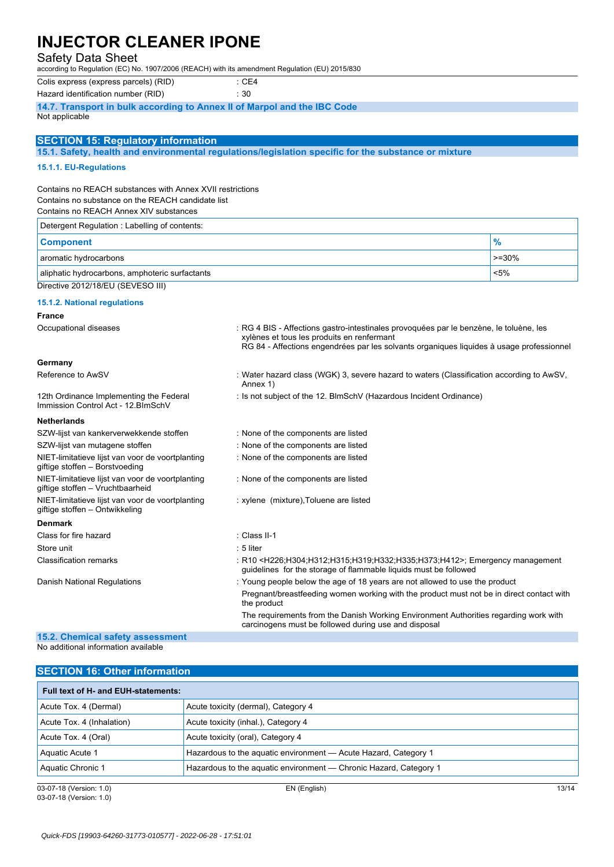#### Safety Data Sheet

according to Regulation (EC) No. 1907/2006 (REACH) with its amendment Regulation (EU) 2015/830

Colis express (express parcels) (RID) : CE4

Hazard identification number (RID) : 30

**14.7. Transport in bulk according to Annex II of Marpol and the IBC Code** Not applicable

#### **SECTION 15: Regulatory information**

**15.1. Safety, health and environmental regulations/legislation specific for the substance or mixture**

#### **15.1.1. EU-Regulations**

Contains no REACH substances with Annex XVII restrictions Contains no substance on the REACH candidate list

Contains no REACH Annex XIV substances

| Detergent Regulation: Labelling of contents:   |         |
|------------------------------------------------|---------|
| <b>Component</b>                               | %       |
| aromatic hydrocarbons                          | $>=30%$ |
| aliphatic hydrocarbons, amphoteric surfactants | $< 5\%$ |
| Directive 2012/18/EU (SEVESO III)              |         |

#### **15.1.2. National regulations**

#### **France**

| Occupational diseases                                                                | : RG 4 BIS - Affections gastro-intestinales provoguées par le benzène, le toluène, les<br>xylènes et tous les produits en renfermant                                                           |  |
|--------------------------------------------------------------------------------------|------------------------------------------------------------------------------------------------------------------------------------------------------------------------------------------------|--|
|                                                                                      | RG 84 - Affections engendrées par les solvants organiques liquides à usage professionnel                                                                                                       |  |
| Germany                                                                              |                                                                                                                                                                                                |  |
| Reference to AwSV                                                                    | : Water hazard class (WGK) 3, severe hazard to waters (Classification according to AwSV,<br>Annex 1)                                                                                           |  |
| 12th Ordinance Implementing the Federal<br>Immission Control Act - 12. BlmSchV       | : Is not subject of the 12. BlmSchV (Hazardous Incident Ordinance)                                                                                                                             |  |
| <b>Netherlands</b>                                                                   |                                                                                                                                                                                                |  |
| SZW-lijst van kankerverwekkende stoffen                                              | : None of the components are listed                                                                                                                                                            |  |
| SZW-lijst van mutagene stoffen                                                       | : None of the components are listed                                                                                                                                                            |  |
| NIET-limitatieve lijst van voor de voortplanting<br>giftige stoffen - Borstvoeding   | : None of the components are listed                                                                                                                                                            |  |
| NIET-limitatieve lijst van voor de voortplanting<br>giftige stoffen - Vruchtbaarheid | : None of the components are listed                                                                                                                                                            |  |
| NIET-limitatieve lijst van voor de voortplanting<br>giftige stoffen - Ontwikkeling   | : xylene (mixture), Toluene are listed                                                                                                                                                         |  |
| <b>Denmark</b>                                                                       |                                                                                                                                                                                                |  |
| Class for fire hazard                                                                | : Class II-1                                                                                                                                                                                   |  |
| Store unit                                                                           | $: 5$ liter                                                                                                                                                                                    |  |
| <b>Classification remarks</b>                                                        | : R10 <h226;h304;h312;h315;h319;h332;h335;h373;h412>; Emergency management<br/>quidelines for the storage of flammable liquids must be followed</h226;h304;h312;h315;h319;h332;h335;h373;h412> |  |
| Danish National Regulations                                                          | : Young people below the age of 18 years are not allowed to use the product                                                                                                                    |  |
|                                                                                      | Pregnant/breastfeeding women working with the product must not be in direct contact with<br>the product                                                                                        |  |
|                                                                                      | The requirements from the Danish Working Environment Authorities regarding work with<br>carcinogens must be followed during use and disposal                                                   |  |
| 15.2. Chemical safety assessment                                                     |                                                                                                                                                                                                |  |

#### **15.2. Chemical safety assessment** No additional information available

| <b>SECTION 16: Other information</b> |                                                                   |       |
|--------------------------------------|-------------------------------------------------------------------|-------|
| Full text of H- and EUH-statements:  |                                                                   |       |
| Acute Tox. 4 (Dermal)                | Acute toxicity (dermal), Category 4                               |       |
| Acute Tox. 4 (Inhalation)            | Acute toxicity (inhal.), Category 4                               |       |
| Acute Tox. 4 (Oral)                  | Acute toxicity (oral), Category 4                                 |       |
| Aquatic Acute 1                      | Hazardous to the aquatic environment - Acute Hazard, Category 1   |       |
| Aquatic Chronic 1                    | Hazardous to the aquatic environment — Chronic Hazard, Category 1 |       |
| 03-07-18 (Version: 1.0)              | EN (English)                                                      | 13/14 |

03-07-18 (Version: 1.0)